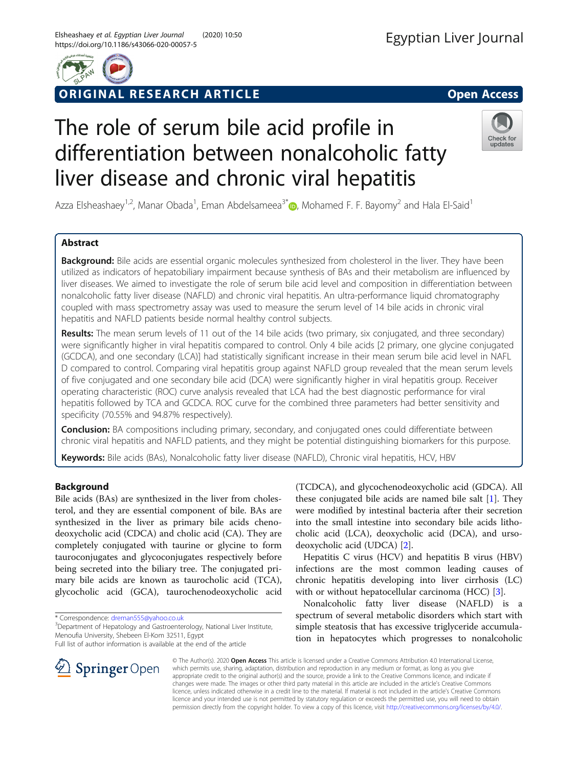

# ORIGINAL RESEARCH ARTICLE **External of the Contract Open Access**

# The role of serum bile acid profile in differentiation between nonalcoholic fatty liver disease and chronic viral hepatitis



Azza Elsheashaey<sup>1,2</sup>, Manar Obada<sup>1</sup>, Eman Abdelsameea<sup>3[\\*](http://orcid.org/0000-0002-3225-7164)</sup> (D, Mohamed F. F. Bayomy<sup>2</sup> and Hala El-Said<sup>1</sup>

## Abstract

Background: Bile acids are essential organic molecules synthesized from cholesterol in the liver. They have been utilized as indicators of hepatobiliary impairment because synthesis of BAs and their metabolism are influenced by liver diseases. We aimed to investigate the role of serum bile acid level and composition in differentiation between nonalcoholic fatty liver disease (NAFLD) and chronic viral hepatitis. An ultra-performance liquid chromatography coupled with mass spectrometry assay was used to measure the serum level of 14 bile acids in chronic viral hepatitis and NAFLD patients beside normal healthy control subjects.

Results: The mean serum levels of 11 out of the 14 bile acids (two primary, six conjugated, and three secondary) were significantly higher in viral hepatitis compared to control. Only 4 bile acids [2 primary, one glycine conjugated (GCDCA), and one secondary (LCA)] had statistically significant increase in their mean serum bile acid level in NAFL D compared to control. Comparing viral hepatitis group against NAFLD group revealed that the mean serum levels of five conjugated and one secondary bile acid (DCA) were significantly higher in viral hepatitis group. Receiver operating characteristic (ROC) curve analysis revealed that LCA had the best diagnostic performance for viral hepatitis followed by TCA and GCDCA. ROC curve for the combined three parameters had better sensitivity and specificity (70.55% and 94.87% respectively).

**Conclusion:** BA compositions including primary, secondary, and conjugated ones could differentiate between chronic viral hepatitis and NAFLD patients, and they might be potential distinguishing biomarkers for this purpose.

Keywords: Bile acids (BAs), Nonalcoholic fatty liver disease (NAFLD), Chronic viral hepatitis, HCV, HBV

## Background

Bile acids (BAs) are synthesized in the liver from cholesterol, and they are essential component of bile. BAs are synthesized in the liver as primary bile acids chenodeoxycholic acid (CDCA) and cholic acid (CA). They are completely conjugated with taurine or glycine to form tauroconjugates and glycoconjugates respectively before being secreted into the biliary tree. The conjugated primary bile acids are known as taurocholic acid (TCA), glycocholic acid (GCA), taurochenodeoxycholic acid

\* Correspondence: [dreman555@yahoo.co.uk](mailto:dreman555@yahoo.co.uk) <sup>3</sup>



Hepatitis C virus (HCV) and hepatitis B virus (HBV) infections are the most common leading causes of chronic hepatitis developing into liver cirrhosis (LC) with or without hepatocellular carcinoma (HCC) [[3\]](#page-9-0).

Nonalcoholic fatty liver disease (NAFLD) is a spectrum of several metabolic disorders which start with simple steatosis that has excessive triglyceride accumulation in hepatocytes which progresses to nonalcoholic

© The Author(s). 2020 Open Access This article is licensed under a Creative Commons Attribution 4.0 International License, which permits use, sharing, adaptation, distribution and reproduction in any medium or format, as long as you give appropriate credit to the original author(s) and the source, provide a link to the Creative Commons licence, and indicate if changes were made. The images or other third party material in this article are included in the article's Creative Commons licence, unless indicated otherwise in a credit line to the material. If material is not included in the article's Creative Commons licence and your intended use is not permitted by statutory regulation or exceeds the permitted use, you will need to obtain permission directly from the copyright holder. To view a copy of this licence, visit <http://creativecommons.org/licenses/by/4.0/>.



<sup>&</sup>lt;sup>3</sup> Department of Hepatology and Gastroenterology, National Liver Institute, Menoufia University, Shebeen El-Kom 32511, Egypt

Full list of author information is available at the end of the article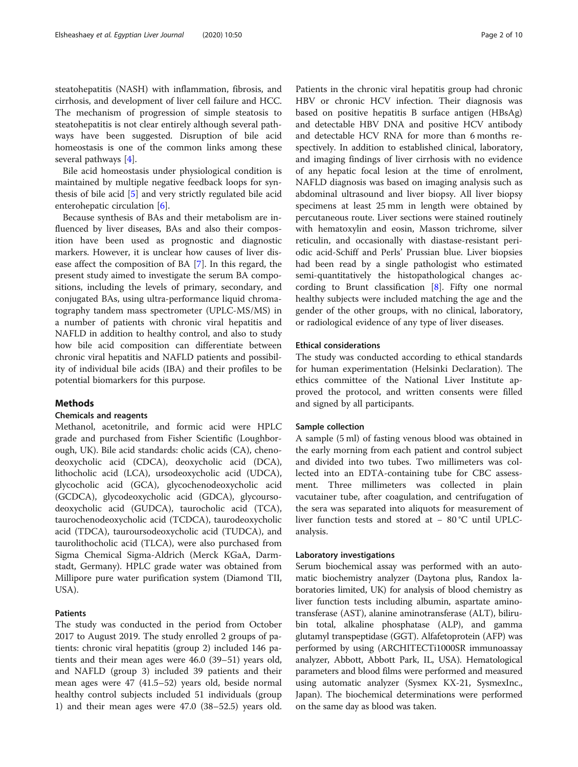steatohepatitis (NASH) with inflammation, fibrosis, and cirrhosis, and development of liver cell failure and HCC. The mechanism of progression of simple steatosis to steatohepatitis is not clear entirely although several pathways have been suggested. Disruption of bile acid homeostasis is one of the common links among these several pathways [[4\]](#page-9-0).

Bile acid homeostasis under physiological condition is maintained by multiple negative feedback loops for synthesis of bile acid [[5\]](#page-9-0) and very strictly regulated bile acid enterohepatic circulation [[6\]](#page-9-0).

Because synthesis of BAs and their metabolism are influenced by liver diseases, BAs and also their composition have been used as prognostic and diagnostic markers. However, it is unclear how causes of liver disease affect the composition of BA [[7\]](#page-9-0). In this regard, the present study aimed to investigate the serum BA compositions, including the levels of primary, secondary, and conjugated BAs, using ultra-performance liquid chromatography tandem mass spectrometer (UPLC-MS/MS) in a number of patients with chronic viral hepatitis and NAFLD in addition to healthy control, and also to study how bile acid composition can differentiate between chronic viral hepatitis and NAFLD patients and possibility of individual bile acids (IBA) and their profiles to be potential biomarkers for this purpose.

## Methods

## Chemicals and reagents

Methanol, acetonitrile, and formic acid were HPLC grade and purchased from Fisher Scientific (Loughborough, UK). Bile acid standards: cholic acids (CA), chenodeoxycholic acid (CDCA), deoxycholic acid (DCA), lithocholic acid (LCA), ursodeoxycholic acid (UDCA), glycocholic acid (GCA), glycochenodeoxycholic acid (GCDCA), glycodeoxycholic acid (GDCA), glycoursodeoxycholic acid (GUDCA), taurocholic acid (TCA), taurochenodeoxycholic acid (TCDCA), taurodeoxycholic acid (TDCA), tauroursodeoxycholic acid (TUDCA), and taurolithocholic acid (TLCA), were also purchased from Sigma Chemical Sigma-Aldrich (Merck KGaA, Darmstadt, Germany). HPLC grade water was obtained from Millipore pure water purification system (Diamond TΙΙ, USA).

## Patients

The study was conducted in the period from October 2017 to August 2019. The study enrolled 2 groups of patients: chronic viral hepatitis (group 2) included 146 patients and their mean ages were 46.0 (39–51) years old, and NAFLD (group 3) included 39 patients and their mean ages were 47 (41.5–52) years old, beside normal healthy control subjects included 51 individuals (group 1) and their mean ages were 47.0 (38–52.5) years old.

Patients in the chronic viral hepatitis group had chronic HBV or chronic HCV infection. Their diagnosis was based on positive hepatitis B surface antigen (HBsAg) and detectable HBV DNA and positive HCV antibody and detectable HCV RNA for more than 6 months respectively. In addition to established clinical, laboratory, and imaging findings of liver cirrhosis with no evidence of any hepatic focal lesion at the time of enrolment, NAFLD diagnosis was based on imaging analysis such as abdominal ultrasound and liver biopsy. All liver biopsy specimens at least 25 mm in length were obtained by percutaneous route. Liver sections were stained routinely with hematoxylin and eosin, Masson trichrome, silver reticulin, and occasionally with diastase-resistant periodic acid-Schiff and Perls' Prussian blue. Liver biopsies had been read by a single pathologist who estimated semi-quantitatively the histopathological changes according to Brunt classification [\[8](#page-9-0)]. Fifty one normal healthy subjects were included matching the age and the gender of the other groups, with no clinical, laboratory, or radiological evidence of any type of liver diseases.

## Ethical considerations

The study was conducted according to ethical standards for human experimentation (Helsinki Declaration). The ethics committee of the National Liver Institute approved the protocol, and written consents were filled and signed by all participants.

## Sample collection

A sample (5 ml) of fasting venous blood was obtained in the early morning from each patient and control subject and divided into two tubes. Two millimeters was collected into an EDTA-containing tube for CBC assessment. Three millimeters was collected in plain vacutainer tube, after coagulation, and centrifugation of the sera was separated into aliquots for measurement of liver function tests and stored at − 80 °C until UPLCanalysis.

## Laboratory investigations

Serum biochemical assay was performed with an automatic biochemistry analyzer (Daytona plus, Randox laboratories limited, UK) for analysis of blood chemistry as liver function tests including albumin, aspartate aminotransferase (AST), alanine aminotransferase (ALT), bilirubin total, alkaline phosphatase (ALP), and gamma glutamyl transpeptidase (GGT). Alfafetoprotein (AFP) was performed by using (ARCHITECTi1000SR immunoassay analyzer, Abbott, Abbott Park, IL, USA). Hematological parameters and blood films were performed and measured using automatic analyzer (Sysmex KX-21, SysmexInc., Japan). The biochemical determinations were performed on the same day as blood was taken.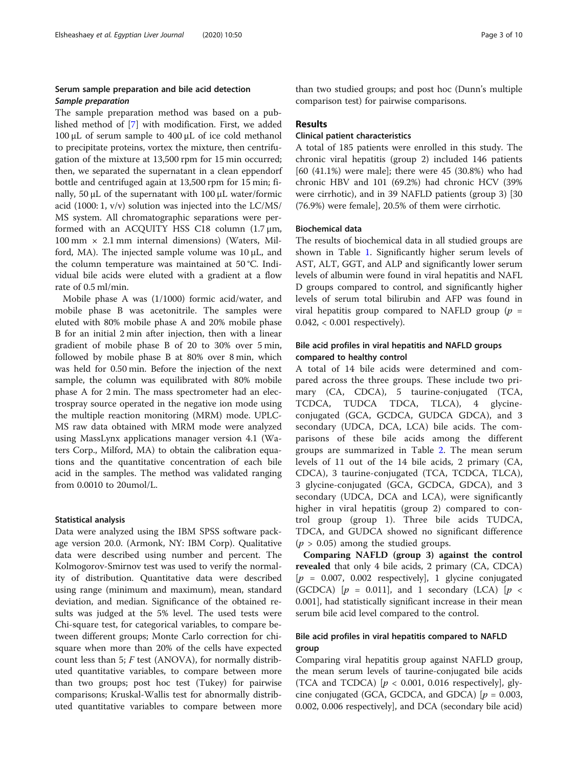## Serum sample preparation and bile acid detection Sample preparation

The sample preparation method was based on a published method of [[7\]](#page-9-0) with modification. First, we added 100 μL of serum sample to 400 μL of ice cold methanol to precipitate proteins, vortex the mixture, then centrifugation of the mixture at 13,500 rpm for 15 min occurred; then, we separated the supernatant in a clean eppendorf bottle and centrifuged again at 13,500 rpm for 15 min; finally, 50 μL of the supernatant with 100 μL water/formic acid (1000: 1, v/v) solution was injected into the LC/MS/ MS system. All chromatographic separations were performed with an ACQUITY HSS C18 column (1.7 μm,  $100 \text{ mm} \times 2.1 \text{ mm}$  internal dimensions) (Waters, Milford, MA). The injected sample volume was  $10 \mu L$ , and the column temperature was maintained at 50 °C. Individual bile acids were eluted with a gradient at a flow rate of 0.5 ml/min.

Mobile phase A was (1/1000) formic acid/water, and mobile phase B was acetonitrile. The samples were eluted with 80% mobile phase A and 20% mobile phase B for an initial 2 min after injection, then with a linear gradient of mobile phase B of 20 to 30% over 5 min, followed by mobile phase B at 80% over 8 min, which was held for 0.50 min. Before the injection of the next sample, the column was equilibrated with 80% mobile phase A for 2 min. The mass spectrometer had an electrospray source operated in the negative ion mode using the multiple reaction monitoring (MRM) mode. UPLC-MS raw data obtained with MRM mode were analyzed using MassLynx applications manager version 4.1 (Waters Corp., Milford, MA) to obtain the calibration equations and the quantitative concentration of each bile acid in the samples. The method was validated ranging from 0.0010 to 20umol/L.

#### Statistical analysis

Data were analyzed using the IBM SPSS software package version 20.0. (Armonk, NY: IBM Corp). Qualitative data were described using number and percent. The Kolmogorov-Smirnov test was used to verify the normality of distribution. Quantitative data were described using range (minimum and maximum), mean, standard deviation, and median. Significance of the obtained results was judged at the 5% level. The used tests were Chi-square test, for categorical variables, to compare between different groups; Monte Carlo correction for chisquare when more than 20% of the cells have expected count less than 5;  $F$  test (ANOVA), for normally distributed quantitative variables, to compare between more than two groups; post hoc test (Tukey) for pairwise comparisons; Kruskal-Wallis test for abnormally distributed quantitative variables to compare between more than two studied groups; and post hoc (Dunn's multiple comparison test) for pairwise comparisons.

## Results

## Clinical patient characteristics

A total of 185 patients were enrolled in this study. The chronic viral hepatitis (group 2) included 146 patients [60 (41.1%) were male]; there were 45 (30.8%) who had chronic HBV and 101 (69.2%) had chronic HCV (39% were cirrhotic), and in 39 NAFLD patients (group 3) [30 (76.9%) were female], 20.5% of them were cirrhotic.

#### Biochemical data

The results of biochemical data in all studied groups are shown in Table [1](#page-3-0). Significantly higher serum levels of AST, ALT, GGT, and ALP and significantly lower serum levels of albumin were found in viral hepatitis and NAFL D groups compared to control, and significantly higher levels of serum total bilirubin and AFP was found in viral hepatitis group compared to NAFLD group ( $p =$ 0.042, < 0.001 respectively).

## Bile acid profiles in viral hepatitis and NAFLD groups compared to healthy control

A total of 14 bile acids were determined and compared across the three groups. These include two primary (CA, CDCA), 5 taurine-conjugated (TCA, TCDCA, TUDCA TDCA, TLCA), 4 glycineconjugated (GCA, GCDCA, GUDCA GDCA), and 3 secondary (UDCA, DCA, LCA) bile acids. The comparisons of these bile acids among the different groups are summarized in Table [2](#page-4-0). The mean serum levels of 11 out of the 14 bile acids, 2 primary (CA, CDCA), 3 taurine-conjugated (TCA, TCDCA, TLCA), 3 glycine-conjugated (GCA, GCDCA, GDCA), and 3 secondary (UDCA, DCA and LCA), were significantly higher in viral hepatitis (group 2) compared to control group (group 1). Three bile acids TUDCA, TDCA, and GUDCA showed no significant difference  $(p > 0.05)$  among the studied groups.

Comparing NAFLD (group 3) against the control revealed that only 4 bile acids, 2 primary (CA, CDCA)  $[p = 0.007, 0.002$  respectively], 1 glycine conjugated (GCDCA)  $[p = 0.011]$ , and 1 secondary (LCA)  $[p \sim$ 0.001], had statistically significant increase in their mean serum bile acid level compared to the control.

## Bile acid profiles in viral hepatitis compared to NAFLD group

Comparing viral hepatitis group against NAFLD group, the mean serum levels of taurine-conjugated bile acids (TCA and TCDCA)  $[p < 0.001, 0.016$  respectively], glycine conjugated (GCA, GCDCA, and GDCA)  $[p = 0.003,$ 0.002, 0.006 respectively], and DCA (secondary bile acid)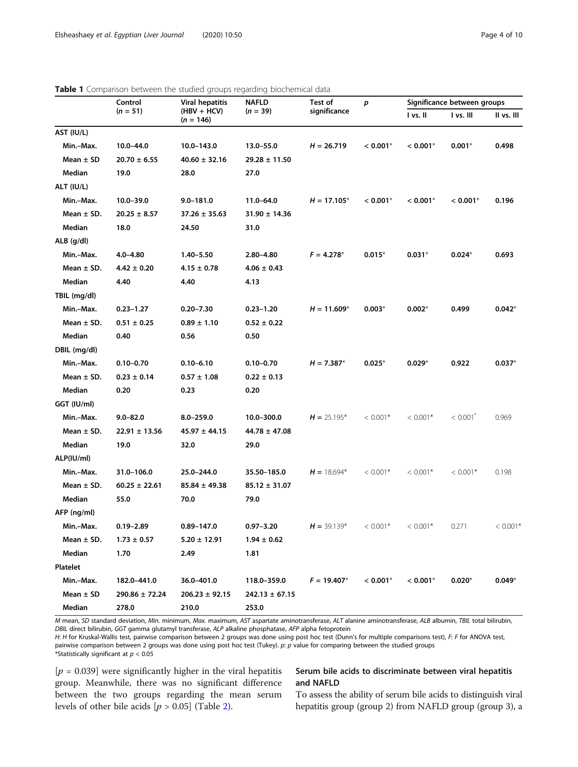<span id="page-3-0"></span>

|                | Control            | <b>Viral hepatitis</b>       | <b>NAFLD</b>       | Test of<br>$\boldsymbol{p}$<br>significance |            | Significance between groups |                        |            |
|----------------|--------------------|------------------------------|--------------------|---------------------------------------------|------------|-----------------------------|------------------------|------------|
|                | $(n = 51)$         | $(HBV + HCV)$<br>$(n = 146)$ | $(n = 39)$         |                                             |            | I vs. II                    | I vs. III              | II vs. III |
| AST (IU/L)     |                    |                              |                    |                                             |            |                             |                        |            |
| Min.-Max.      | 10.0-44.0          | 10.0-143.0                   | 13.0-55.0          | $H = 26.719$                                | $< 0.001*$ | $< 0.001*$                  | $0.001*$               | 0.498      |
| Mean $\pm$ SD  | $20.70 \pm 6.55$   | $40.60 \pm 32.16$            | $29.28 \pm 11.50$  |                                             |            |                             |                        |            |
| Median         | 19.0               | 28.0                         | 27.0               |                                             |            |                             |                        |            |
| ALT (IU/L)     |                    |                              |                    |                                             |            |                             |                        |            |
| Min.-Max.      | $10.0 - 39.0$      | $9.0 - 181.0$                | 11.0-64.0          | $H = 17.105*$                               | $< 0.001*$ | $< 0.001*$                  | $< 0.001*$             | 0.196      |
| Mean $\pm$ SD. | $20.25 \pm 8.57$   | $37.26 \pm 35.63$            | $31.90 \pm 14.36$  |                                             |            |                             |                        |            |
| Median         | 18.0               | 24.50                        | 31.0               |                                             |            |                             |                        |            |
| $ALB$ (g/dl)   |                    |                              |                    |                                             |            |                             |                        |            |
| Min.-Max.      | $4.0 - 4.80$       | 1.40-5.50                    | 2.80-4.80          | $F = 4.278*$                                | $0.015*$   | $0.031*$                    | $0.024*$               | 0.693      |
| Mean $\pm$ SD. | $4.42 \pm 0.20$    | $4.15 \pm 0.78$              | $4.06 \pm 0.43$    |                                             |            |                             |                        |            |
| Median         | 4.40               | 4.40                         | 4.13               |                                             |            |                             |                        |            |
| TBIL (mg/dl)   |                    |                              |                    |                                             |            |                             |                        |            |
| Min.-Max.      | $0.23 - 1.27$      | $0.20 - 7.30$                | $0.23 - 1.20$      | $H = 11.609*$                               | $0.003*$   | $0.002*$                    | 0.499                  | $0.042*$   |
| Mean $\pm$ SD. | $0.51 \pm 0.25$    | $0.89 \pm 1.10$              | $0.52 \pm 0.22$    |                                             |            |                             |                        |            |
| Median         | 0.40               | 0.56                         | 0.50               |                                             |            |                             |                        |            |
| DBIL (mg/dl)   |                    |                              |                    |                                             |            |                             |                        |            |
| Min.-Max.      | $0.10 - 0.70$      | $0.10 - 6.10$                | $0.10 - 0.70$      | $H = 7.387*$                                | $0.025*$   | $0.029*$                    | 0.922                  | $0.037*$   |
| Mean $\pm$ SD. | $0.23 \pm 0.14$    | $0.57 \pm 1.08$              | $0.22 \pm 0.13$    |                                             |            |                             |                        |            |
| Median         | 0.20               | 0.23                         | 0.20               |                                             |            |                             |                        |            |
| GGT (IU/ml)    |                    |                              |                    |                                             |            |                             |                        |            |
| Min.-Max.      | $9.0 - 82.0$       | $8.0 - 259.0$                | 10.0-300.0         | $H = 25.195*$                               | $< 0.001*$ | $< 0.001*$                  | $< 0.001$ <sup>2</sup> | 0.969      |
| Mean $\pm$ SD. | $22.91 \pm 13.56$  | $45.97 \pm 44.15$            | $44.78 \pm 47.08$  |                                             |            |                             |                        |            |
| Median         | 19.0               | 32.0                         | 29.0               |                                             |            |                             |                        |            |
| ALP(IU/ml)     |                    |                              |                    |                                             |            |                             |                        |            |
| Min.-Max.      | 31.0-106.0         | 25.0-244.0                   | 35.50-185.0        | $H = 18.694*$                               | $< 0.001*$ | $< 0.001*$                  | $< 0.001*$             | 0.198      |
| Mean $\pm$ SD. | $60.25 \pm 22.61$  | $85.84 \pm 49.38$            | $85.12 \pm 31.07$  |                                             |            |                             |                        |            |
| Median         | 55.0               | 70.0                         | 79.0               |                                             |            |                             |                        |            |
| AFP (ng/ml)    |                    |                              |                    |                                             |            |                             |                        |            |
| Min.-Max.      | $0.19 - 2.89$      | 0.89-147.0                   | $0.97 - 3.20$      | $H = 39.139*$                               | $< 0.001*$ | $< 0.001*$                  | 0.271                  | $< 0.001*$ |
| Mean $\pm$ SD. | $1.73 \pm 0.57$    | $5.20 \pm 12.91$             | $1.94 \pm 0.62$    |                                             |            |                             |                        |            |
| Median         | 1.70               | 2.49                         | 1.81               |                                             |            |                             |                        |            |
| Platelet       |                    |                              |                    |                                             |            |                             |                        |            |
| Min.-Max.      | 182.0-441.0        | 36.0-401.0                   | 118.0-359.0        | $F = 19.407*$                               | $< 0.001*$ | $< 0.001*$                  | $0.020*$               | $0.049*$   |
| Mean $\pm$ SD  | $290.86 \pm 72.24$ | $206.23 \pm 92.15$           | $242.13 \pm 67.15$ |                                             |            |                             |                        |            |
| Median         | 278.0              | 210.0                        | 253.0              |                                             |            |                             |                        |            |

M mean, SD standard deviation, Min. minimum, Max. maximum, AST aspartate aminotransferase, ALT alanine aminotransferase, ALB albumin, TBIL total bilirubin, DBIL direct bilirubin, GGT gamma glutamyl transferase, ALP alkaline phosphatase, AFP alpha fetoprotein

H: H for Kruskal-Wallis test, pairwise comparison between 2 groups was done using post hoc test (Dunn's for multiple comparisons test), F: F for ANOVA test, pairwise comparison between 2 groups was done using post hoc test (Tukey). p: p value for comparing between the studied groups \*Statistically significant at  $p < 0.05$ 

 $[p = 0.039]$  were significantly higher in the viral hepatitis group. Meanwhile, there was no significant difference between the two groups regarding the mean serum levels of other bile acids  $[p > 0.05]$  (Table [2\)](#page-4-0).

## Serum bile acids to discriminate between viral hepatitis and NAFLD

To assess the ability of serum bile acids to distinguish viral hepatitis group (group 2) from NAFLD group (group 3), a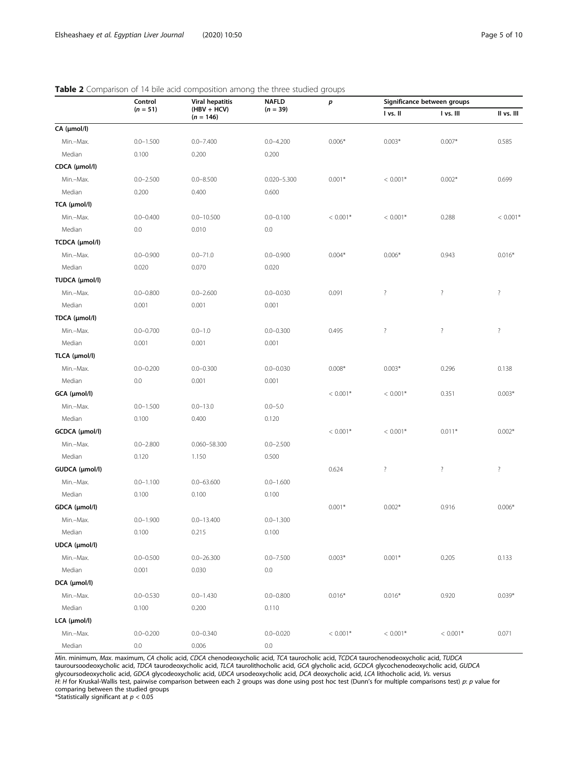## Control  $(n = 51)$ Viral hepatitis  $(HBV + HCV)$  $(n = 146)$ NAFLD  $(n = 39)$ p Significance between groups I vs. II I vs. III II vs. III CA (μmol/l) Min.–Max. 0.0–1.500 0.0–7.400 0.0–4.200 0.006\* 0.003\* 0.007\* 0.585 Median 0.100 0.200 0.200 0.200 CDCA (μmol/l) Min.–Max. 0.0–2.500 0.0–8.500 0.020–5.300 0.001\* < 0.001\* 0.002\* 0.699 Median 0.200 0.400 0.600 TCA (μmol/l) Min.–Max. 0.0–0.400 0.0–10.500 0.0–0.100 < 0.001\* < 0.001\* 0.288 < 0.001\* Median 0.0 0.0 0.010 0.010 0.0 TCDCA (μmol/l) Min.–Max. 0.0–0.900 0.0–71.0 0.0–0.900 0.004\* 0.006\* 0.943 0.016\* Median 0.020 0.070 0.020 TUDCA (μmol/l) Min.–Max. 0.0–0.800 0.0–2.600 0.0–0.030 0.091 ? ? ? Median 0.001 0.001 0.001 0.001 TDCA (μmol/l) Min.–Max. 0.0–0.700 0.0–1.0 0.0–0.300 0.495 ? ? ? Median 0.001 0.001 0.001 0.001 TLCA (μmol/l) Min.–Max. 0.0–0.200 0.0–0.300 0.0–0.030 0.008\* 0.003\* 0.296 0.138 Median 0.0 0.001 0.001 0.001 **GCA (µmol/l)**  $< 0.001^*$   $< 0.001^*$   $< 0.001^*$   $< 0.001^*$   $< 0.03^*$   $< 0.03^*$ Min.–Max. 0.0–1.500 0.0–13.0 0.0–5.0 Median 0.100 0.400 0.120 **GCDCA (µmol/l)**  $\leq 0.001^*$   $\leq 0.001^*$   $\leq 0.001^*$   $\leq 0.011^*$   $\leq 0.012^*$   $\leq 0.002^*$ Min.–Max. 0.0–2.800 0.060–58.300 0.0–2.500 Median 0.120 1.150 0.500 **GUDCA (µmol/l)**  $0.624$  ? ? ? ? ? Min.–Max. 0.0–1.100 0.0–63.600 0.0–1.600 Median 0.100 0.100 0.100 0.100 **GDCA (µmol/l)** 0.001\* 0.002\* 0.916 0.006\* Min.–Max. 0.0–1.900 0.0–13.400 0.0–1.300 Median 0.100 0.215 0.100 UDCA (μmol/l) Min.–Max. 0.0–0.500 0.0–26.300 0.0–7.500 0.003\* 0.001\* 0.205 0.133 Median 0.001 0.030 0.030 0.0 DCA (μmol/l) Min.–Max. 0.0–0.530 0.0–1.430 0.0–0.800 0.016\* 0.016\* 0.920 0.039\* Median 0.100 0.200 0.110 LCA (μmol/l)

## <span id="page-4-0"></span>Table 2 Comparison of 14 bile acid composition among the three studied groups

Min. minimum, Max. maximum, CA cholic acid, CDCA chenodeoxycholic acid, TCA taurocholic acid, TCDCA taurochenodeoxycholic acid, TUDCA tauroursoodeoxycholic acid, TDCA taurodeoxycholic acid, TLCA taurolithocholic acid, GCA glycholic acid, GCDCA glycochenodeoxycholic acid, GUDCA glycoursodeoxycholic acid, GDCA glycodeoxycholic acid, UDCA ursodeoxycholic acid, DCA deoxycholic acid, LCA lithocholic acid, Vs. versus H: H for Kruskal-Wallis test, pairwise comparison between each 2 groups was done using post hoc test (Dunn's for multiple comparisons test) p: p value for comparing between the studied groups

Min.–Max. 0.0–0.200 0.0–0.340 0.0–0.020 < 0.001\* < 0.001\* < 0.001\* 0.071

\*Statistically significant at  $p < 0.05$ 

Median 0.0 0.006 0.006 0.00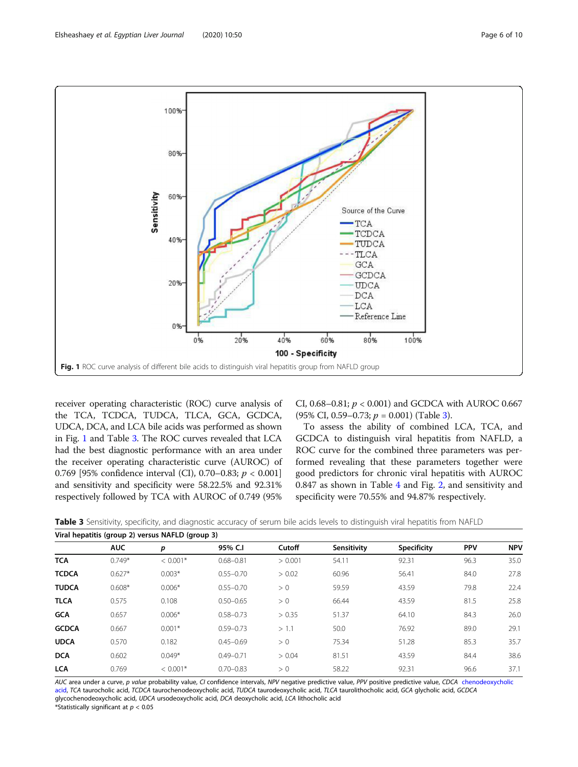

receiver operating characteristic (ROC) curve analysis of the TCA, TCDCA, TUDCA, TLCA, GCA, GCDCA, UDCA, DCA, and LCA bile acids was performed as shown in Fig. 1 and Table 3. The ROC curves revealed that LCA had the best diagnostic performance with an area under the receiver operating characteristic curve (AUROC) of 0.769 [95% confidence interval (CI), 0.70–0.83; p < 0.001] and sensitivity and specificity were 58.22.5% and 92.31% respectively followed by TCA with AUROC of 0.749 (95% CI, 0.68–0.81;  $p < 0.001$ ) and GCDCA with AUROC 0.667 (95% CI, 0.59–0.73;  $p = 0.001$ ) (Table 3).

To assess the ability of combined LCA, TCA, and GCDCA to distinguish viral hepatitis from NAFLD, a ROC curve for the combined three parameters was performed revealing that these parameters together were good predictors for chronic viral hepatitis with AUROC 0.847 as shown in Table [4](#page-6-0) and Fig. [2,](#page-6-0) and sensitivity and specificity were 70.55% and 94.87% respectively.

| Viral hepatitis (group 2) versus NAFLD (group 3) |            |            |               |         |             |                    |            |            |
|--------------------------------------------------|------------|------------|---------------|---------|-------------|--------------------|------------|------------|
|                                                  | <b>AUC</b> | p          | 95% C.I       | Cutoff  | Sensitivity | <b>Specificity</b> | <b>PPV</b> | <b>NPV</b> |
| <b>TCA</b>                                       | $0.749*$   | $< 0.001*$ | $0.68 - 0.81$ | > 0.001 | 54.11       | 92.31              | 96.3       | 35.0       |
| <b>TCDCA</b>                                     | $0.627*$   | $0.003*$   | $0.55 - 0.70$ | > 0.02  | 60.96       | 56.41              | 84.0       | 27.8       |
| <b>TUDCA</b>                                     | $0.608*$   | $0.006*$   | $0.55 - 0.70$ | > 0     | 59.59       | 43.59              | 79.8       | 22.4       |
| <b>TLCA</b>                                      | 0.575      | 0.108      | $0.50 - 0.65$ | > 0     | 66.44       | 43.59              | 81.5       | 25.8       |
| <b>GCA</b>                                       | 0.657      | $0.006*$   | $0.58 - 0.73$ | > 0.35  | 51.37       | 64.10              | 84.3       | 26.0       |
| <b>GCDCA</b>                                     | 0.667      | $0.001*$   | $0.59 - 0.73$ | > 1.1   | 50.0        | 76.92              | 89.0       | 29.1       |
| <b>UDCA</b>                                      | 0.570      | 0.182      | $0.45 - 0.69$ | > 0     | 75.34       | 51.28              | 85.3       | 35.7       |
| <b>DCA</b>                                       | 0.602      | $0.049*$   | $0.49 - 0.71$ | > 0.04  | 81.51       | 43.59              | 84.4       | 38.6       |
| <b>LCA</b>                                       | 0.769      | $< 0.001*$ | $0.70 - 0.83$ | > 0     | 58.22       | 92.31              | 96.6       | 37.1       |

| Table 3 Sensitivity, specificity, and diagnostic accuracy of serum bile acids levels to distinguish viral hepatitis from NAFLD |  |  |  |
|--------------------------------------------------------------------------------------------------------------------------------|--|--|--|
|--------------------------------------------------------------------------------------------------------------------------------|--|--|--|

AUC area under a curve, p value probability value, CI confidence intervals, NPV negative predictive value, PPV positive predictive value, CDCA [chenodeoxycholic](https://en.wikipedia.org/wiki/Chenodeoxycholic_acid) [acid,](https://en.wikipedia.org/wiki/Chenodeoxycholic_acid) TCA taurocholic acid, TCDCA taurochenodeoxycholic acid, TUDCA taurodeoxycholic acid, TLCA taurolithocholic acid, GCA glycholic acid, GCDCA glycochenodeoxycholic acid, UDCA ursodeoxycholic acid, DCA deoxycholic acid, LCA lithocholic acid \*Statistically significant at  $p < 0.05$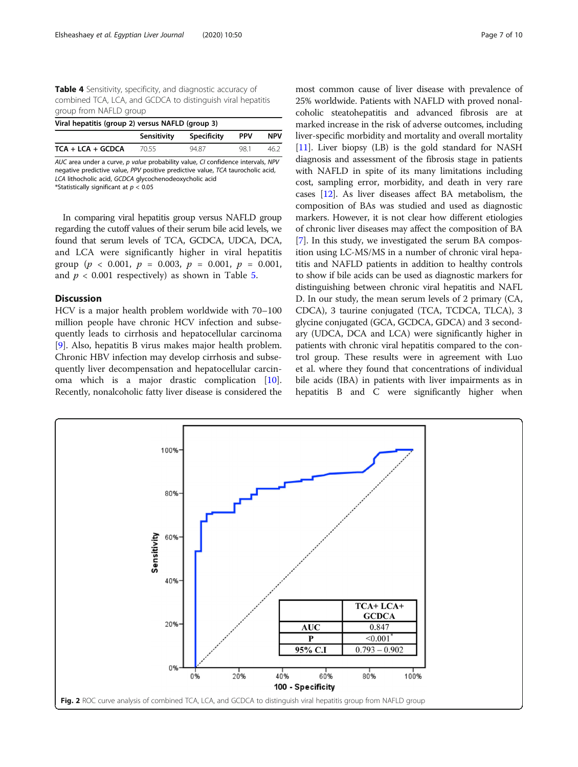<span id="page-6-0"></span>Table 4 Sensitivity, specificity, and diagnostic accuracy of combined TCA, LCA, and GCDCA to distinguish viral hepatitis group from NAFLD group

| Viral hepatitis (group 2) versus NAFLD (group 3) |             |                    |            |            |  |  |  |
|--------------------------------------------------|-------------|--------------------|------------|------------|--|--|--|
|                                                  | Sensitivity | <b>Specificity</b> | <b>PPV</b> | <b>NPV</b> |  |  |  |
| $TCA + LCA + GCDCA$                              | 70.55       | 9487               | 981        | 462        |  |  |  |

AUC area under a curve, p value probability value, CI confidence intervals, NPV negative predictive value, PPV positive predictive value, TCA taurocholic acid, LCA lithocholic acid, GCDCA glycochenodeoxycholic acid \*Statistically significant at  $p < 0.05$ 

In comparing viral hepatitis group versus NAFLD group regarding the cutoff values of their serum bile acid levels, we found that serum levels of TCA, GCDCA, UDCA, DCA, and LCA were significantly higher in viral hepatitis group ( $p < 0.001$ ,  $p = 0.003$ ,  $p = 0.001$ ,  $p = 0.001$ , and  $p < 0.001$  respectively) as shown in Table [5.](#page-7-0)

## **Discussion**

HCV is a major health problem worldwide with 70–100 million people have chronic HCV infection and subsequently leads to cirrhosis and hepatocellular carcinoma [[9\]](#page-9-0). Also, hepatitis B virus makes major health problem. Chronic HBV infection may develop cirrhosis and subsequently liver decompensation and hepatocellular carcinoma which is a major drastic complication [\[10](#page-9-0)]. Recently, nonalcoholic fatty liver disease is considered the

most common cause of liver disease with prevalence of 25% worldwide. Patients with NAFLD with proved nonalcoholic steatohepatitis and advanced fibrosis are at marked increase in the risk of adverse outcomes, including liver-specific morbidity and mortality and overall mortality [[11](#page-9-0)]. Liver biopsy (LB) is the gold standard for NASH diagnosis and assessment of the fibrosis stage in patients with NAFLD in spite of its many limitations including cost, sampling error, morbidity, and death in very rare cases [\[12\]](#page-9-0). As liver diseases affect BA metabolism, the composition of BAs was studied and used as diagnostic markers. However, it is not clear how different etiologies of chronic liver diseases may affect the composition of BA [[7\]](#page-9-0). In this study, we investigated the serum BA composition using LC-MS/MS in a number of chronic viral hepatitis and NAFLD patients in addition to healthy controls to show if bile acids can be used as diagnostic markers for distinguishing between chronic viral hepatitis and NAFL D. In our study, the mean serum levels of 2 primary (CA, CDCA), 3 taurine conjugated (TCA, TCDCA, TLCA), 3 glycine conjugated (GCA, GCDCA, GDCA) and 3 secondary (UDCA, DCA and LCA) were significantly higher in patients with chronic viral hepatitis compared to the control group. These results were in agreement with Luo et al. where they found that concentrations of individual bile acids (IBA) in patients with liver impairments as in hepatitis B and C were significantly higher when

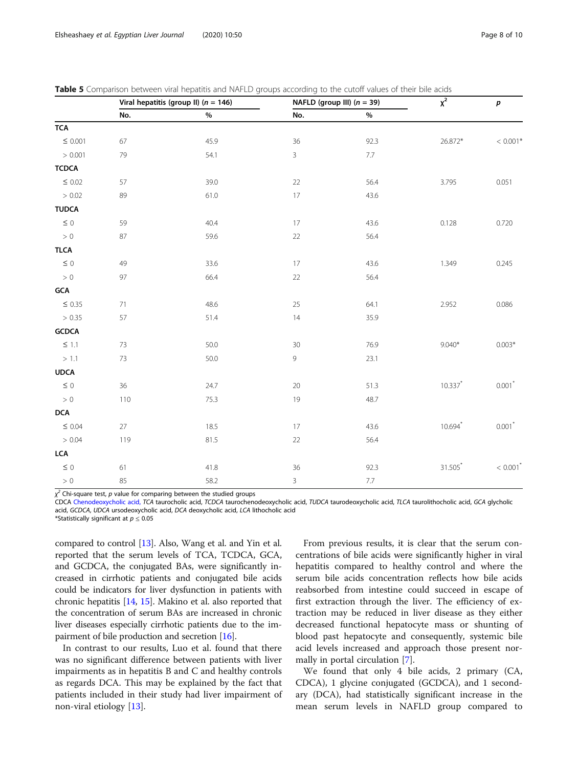<span id="page-7-0"></span>

| <b>Table 5</b> Comparison between viral hepatitis and NAFLD groups according to the cutoff values of their bile acids |  |
|-----------------------------------------------------------------------------------------------------------------------|--|
|-----------------------------------------------------------------------------------------------------------------------|--|

|                | Viral hepatitis (group II) ( $n = 146$ ) |      | NAFLD (group III) $(n = 39)$ |         | $\overline{\chi^2}$ | p                      |
|----------------|------------------------------------------|------|------------------------------|---------|---------------------|------------------------|
|                | No.                                      | $\%$ | No.                          | $\%$    |                     |                        |
| <b>TCA</b>     |                                          |      |                              |         |                     |                        |
| $\leq$ 0.001   | 67                                       | 45.9 | 36                           | 92.3    | 26.872*             | $< 0.001*$             |
| > 0.001        | 79                                       | 54.1 | $\mathbf{3}$                 | 7.7     |                     |                        |
| <b>TCDCA</b>   |                                          |      |                              |         |                     |                        |
| $\leq$ 0.02    | 57                                       | 39.0 | 22                           | 56.4    | 3.795               | 0.051                  |
| > 0.02         | 89                                       | 61.0 | 17                           | 43.6    |                     |                        |
| <b>TUDCA</b>   |                                          |      |                              |         |                     |                        |
| $\leq$ 0       | 59                                       | 40.4 | 17                           | 43.6    | 0.128               | 0.720                  |
| > 0            | 87                                       | 59.6 | 22                           | 56.4    |                     |                        |
| <b>TLCA</b>    |                                          |      |                              |         |                     |                        |
| $\leq$ 0       | 49                                       | 33.6 | 17                           | 43.6    | 1.349               | 0.245                  |
| > 0            | 97                                       | 66.4 | $22\,$                       | 56.4    |                     |                        |
| $\mathsf{GCA}$ |                                          |      |                              |         |                     |                        |
| $\leq$ 0.35    | 71                                       | 48.6 | 25                           | 64.1    | 2.952               | 0.086                  |
| > 0.35         | 57                                       | 51.4 | 14                           | 35.9    |                     |                        |
| ${\sf GCDCA}$  |                                          |      |                              |         |                     |                        |
| $\leq$ 1.1     | 73                                       | 50.0 | $30\,$                       | 76.9    | $9.040*$            | $0.003*$               |
| $>1.1\,$       | $73\,$                                   | 50.0 | $\,9$                        | 23.1    |                     |                        |
| <b>UDCA</b>    |                                          |      |                              |         |                     |                        |
| $\leq$ 0       | 36                                       | 24.7 | 20                           | 51.3    | $10.337$ *          | $0.001*$               |
| $>0\,$         | 110                                      | 75.3 | 19                           | 48.7    |                     |                        |
| <b>DCA</b>     |                                          |      |                              |         |                     |                        |
| $\leq$ 0.04    | 27                                       | 18.5 | 17                           | 43.6    | $10.694$ *          | $0.001*$               |
| > 0.04         | 119                                      | 81.5 | $22\,$                       | 56.4    |                     |                        |
| LCA            |                                          |      |                              |         |                     |                        |
| $\leq$ 0       | 61                                       | 41.8 | 36                           | 92.3    | $31.505*$           | $< 0.001$ <sup>*</sup> |
| $>0\,$         | 85                                       | 58.2 | $\mathsf 3$                  | $7.7\,$ |                     |                        |

χ<sup>2</sup> Chi-square test, *p* value for comparing between the studied groups<br>CDCA Chenodeoxycholic acid JCA taurocholic acid JCDCA taurochen

CDCA [Chenodeoxycholic acid,](https://en.wikipedia.org/wiki/Chenodeoxycholic_acid) TCA taurocholic acid, TCDCA taurochenodeoxycholic acid, TUDCA taurodeoxycholic acid, TLCA taurolithocholic acid, GCA glycholic acid, GCDCA, UDCA ursodeoxycholic acid, DCA deoxycholic acid, LCA lithocholic acid

\*Statistically significant at  $p \leq 0.05$ 

compared to control [[13](#page-9-0)]. Also, Wang et al. and Yin et al. reported that the serum levels of TCA, TCDCA, GCA, and GCDCA, the conjugated BAs, were significantly increased in cirrhotic patients and conjugated bile acids could be indicators for liver dysfunction in patients with chronic hepatitis [\[14,](#page-9-0) [15](#page-9-0)]. Makino et al. also reported that the concentration of serum BAs are increased in chronic liver diseases especially cirrhotic patients due to the impairment of bile production and secretion [\[16\]](#page-9-0).

In contrast to our results, Luo et al. found that there was no significant difference between patients with liver impairments as in hepatitis B and C and healthy controls as regards DCA. This may be explained by the fact that patients included in their study had liver impairment of non-viral etiology [[13\]](#page-9-0).

From previous results, it is clear that the serum concentrations of bile acids were significantly higher in viral hepatitis compared to healthy control and where the serum bile acids concentration reflects how bile acids reabsorbed from intestine could succeed in escape of first extraction through the liver. The efficiency of extraction may be reduced in liver disease as they either decreased functional hepatocyte mass or shunting of blood past hepatocyte and consequently, systemic bile acid levels increased and approach those present normally in portal circulation [\[7](#page-9-0)].

We found that only 4 bile acids, 2 primary (CA, CDCA), 1 glycine conjugated (GCDCA), and 1 secondary (DCA), had statistically significant increase in the mean serum levels in NAFLD group compared to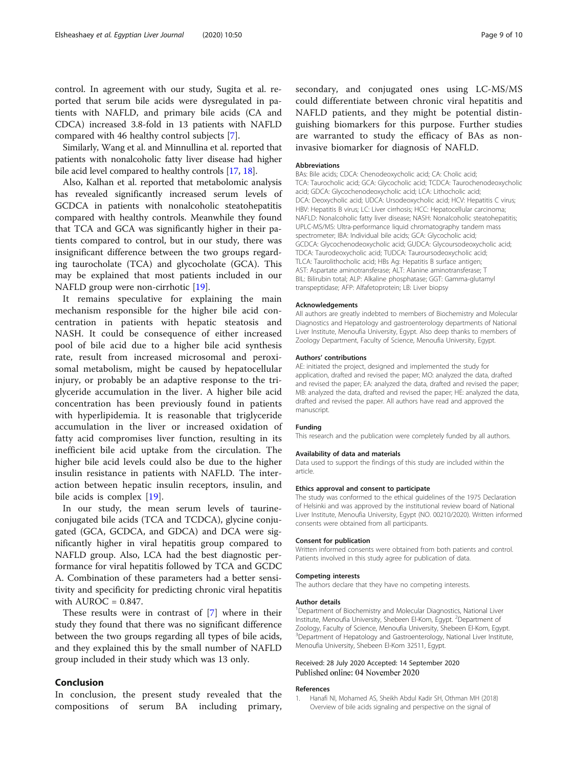<span id="page-8-0"></span>control. In agreement with our study, Sugita et al. reported that serum bile acids were dysregulated in patients with NAFLD, and primary bile acids (CA and CDCA) increased 3.8-fold in 13 patients with NAFLD compared with 46 healthy control subjects [\[7](#page-9-0)].

Similarly, Wang et al. and Minnullina et al. reported that patients with nonalcoholic fatty liver disease had higher bile acid level compared to healthy controls [\[17,](#page-9-0) [18](#page-9-0)].

Also, Kalhan et al. reported that metabolomic analysis has revealed significantly increased serum levels of GCDCA in patients with nonalcoholic steatohepatitis compared with healthy controls. Meanwhile they found that TCA and GCA was significantly higher in their patients compared to control, but in our study, there was insignificant difference between the two groups regarding taurocholate (TCA) and glycocholate (GCA). This may be explained that most patients included in our NAFLD group were non-cirrhotic [[19](#page-9-0)].

It remains speculative for explaining the main mechanism responsible for the higher bile acid concentration in patients with hepatic steatosis and NASH. It could be consequence of either increased pool of bile acid due to a higher bile acid synthesis rate, result from increased microsomal and peroxisomal metabolism, might be caused by hepatocellular injury, or probably be an adaptive response to the triglyceride accumulation in the liver. A higher bile acid concentration has been previously found in patients with hyperlipidemia. It is reasonable that triglyceride accumulation in the liver or increased oxidation of fatty acid compromises liver function, resulting in its inefficient bile acid uptake from the circulation. The higher bile acid levels could also be due to the higher insulin resistance in patients with NAFLD. The interaction between hepatic insulin receptors, insulin, and bile acids is complex [\[19](#page-9-0)].

In our study, the mean serum levels of taurineconjugated bile acids (TCA and TCDCA), glycine conjugated (GCA, GCDCA, and GDCA) and DCA were significantly higher in viral hepatitis group compared to NAFLD group. Also, LCA had the best diagnostic performance for viral hepatitis followed by TCA and GCDC A. Combination of these parameters had a better sensitivity and specificity for predicting chronic viral hepatitis with  $AUROC = 0.847$ .

These results were in contrast of [\[7](#page-9-0)] where in their study they found that there was no significant difference between the two groups regarding all types of bile acids, and they explained this by the small number of NAFLD group included in their study which was 13 only.

## Conclusion

In conclusion, the present study revealed that the compositions of serum BA including primary, secondary, and conjugated ones using LC-MS/MS could differentiate between chronic viral hepatitis and NAFLD patients, and they might be potential distinguishing biomarkers for this purpose. Further studies are warranted to study the efficacy of BAs as noninvasive biomarker for diagnosis of NAFLD.

#### Abbreviations

BAs: Bile acids; CDCA: Chenodeoxycholic acid; CA: Cholic acid; TCA: Taurocholic acid; GCA: Glycocholic acid; TCDCA: Taurochenodeoxycholic acid; GDCA: Glycochenodeoxycholic acid; LCA: Lithocholic acid; DCA: Deoxycholic acid; UDCA: Ursodeoxycholic acid; HCV: Hepatitis C virus; HBV: Hepatitis B virus; LC: Liver cirrhosis; HCC: Hepatocellular carcinoma; NAFLD: Nonalcoholic fatty liver disease; NASH: Nonalcoholic steatohepatitis; UPLC-MS/MS: Ultra-performance liquid chromatography tandem mass spectrometer; IBA: Individual bile acids; GCA: Glycocholic acid; GCDCA: Glycochenodeoxycholic acid; GUDCA: Glycoursodeoxycholic acid; TDCA: Taurodeoxycholic acid; TUDCA: Tauroursodeoxycholic acid; TLCA: Taurolithocholic acid; HBs Ag: Hepatitis B surface antigen; AST: Aspartate aminotransferase; ALT: Alanine aminotransferase; T BIL: Bilirubin total; ALP: Alkaline phosphatase; GGT: Gamma-glutamyl transpeptidase; AFP: Alfafetoprotein; LB: Liver biopsy

#### Acknowledgements

All authors are greatly indebted to members of Biochemistry and Molecular Diagnostics and Hepatology and gastroenterology departments of National Liver Institute, Menoufia University, Egypt. Also deep thanks to members of Zoology Department, Faculty of Science, Menoufia University, Egypt.

#### Authors' contributions

AE: initiated the project, designed and implemented the study for application, drafted and revised the paper; MO: analyzed the data, drafted and revised the paper; EA: analyzed the data, drafted and revised the paper; MB: analyzed the data, drafted and revised the paper; HE: analyzed the data, drafted and revised the paper. All authors have read and approved the manuscript.

#### Funding

This research and the publication were completely funded by all authors.

#### Availability of data and materials

Data used to support the findings of this study are included within the article.

#### Ethics approval and consent to participate

The study was conformed to the ethical guidelines of the 1975 Declaration of Helsinki and was approved by the institutional review board of National Liver Institute, Menoufia University, Egypt (NO. 00210/2020). Written informed consents were obtained from all participants.

#### Consent for publication

Written informed consents were obtained from both patients and control. Patients involved in this study agree for publication of data.

#### Competing interests

The authors declare that they have no competing interests.

## Author details

<sup>1</sup>Department of Biochemistry and Molecular Diagnostics, National Liver Institute, Menoufia University, Shebeen El-Kom, Egypt. <sup>2</sup>Department of Zoology, Faculty of Science, Menoufia University, Shebeen El-Kom, Egypt. <sup>3</sup>Department of Hepatology and Gastroenterology, National Liver Institute, Menoufia University, Shebeen El-Kom 32511, Egypt.

#### Received: 28 July 2020 Accepted: 14 September 2020 Published online: 04 November 2020

#### References

1. Hanafi NI, Mohamed AS, Sheikh Abdul Kadir SH, Othman MH (2018) Overview of bile acids signaling and perspective on the signal of